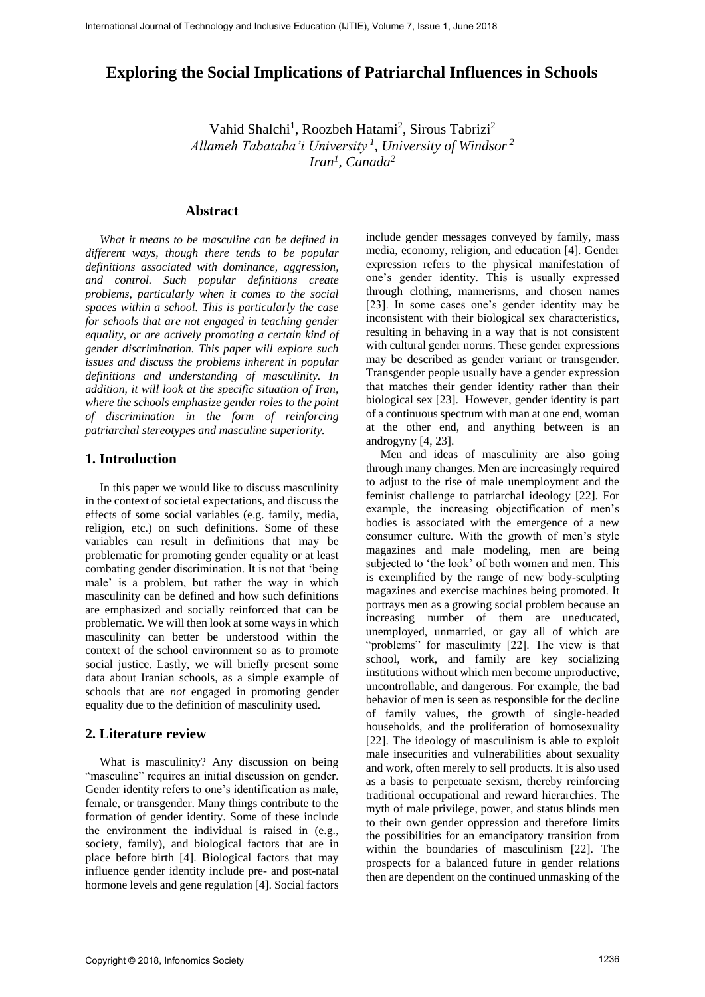# **Exploring the Social Implications of Patriarchal Influences in Schools**

Vahid Shalchi<sup>1</sup>, Roozbeh Hatami<sup>2</sup>, Sirous Tabrizi<sup>2</sup> *Allameh Tabataba'i University <sup>1</sup> , University of Windsor <sup>2</sup> Iran<sup>1</sup> , Canada<sup>2</sup>*

#### **Abstract**

*What it means to be masculine can be defined in different ways, though there tends to be popular definitions associated with dominance, aggression, and control. Such popular definitions create problems, particularly when it comes to the social spaces within a school. This is particularly the case for schools that are not engaged in teaching gender equality, or are actively promoting a certain kind of gender discrimination. This paper will explore such issues and discuss the problems inherent in popular definitions and understanding of masculinity. In addition, it will look at the specific situation of Iran, where the schools emphasize gender roles to the point of discrimination in the form of reinforcing patriarchal stereotypes and masculine superiority.*

# **1. Introduction**

In this paper we would like to discuss masculinity in the context of societal expectations, and discuss the effects of some social variables (e.g. family, media, religion, etc.) on such definitions. Some of these variables can result in definitions that may be problematic for promoting gender equality or at least combating gender discrimination. It is not that 'being male' is a problem, but rather the way in which masculinity can be defined and how such definitions are emphasized and socially reinforced that can be problematic. We will then look at some ways in which masculinity can better be understood within the context of the school environment so as to promote social justice. Lastly, we will briefly present some data about Iranian schools, as a simple example of schools that are *not* engaged in promoting gender equality due to the definition of masculinity used.

## **2. Literature review**

What is masculinity? Any discussion on being "masculine" requires an initial discussion on gender. Gender identity refers to one's identification as male, female, or transgender. Many things contribute to the formation of gender identity. Some of these include the environment the individual is raised in (e.g., society, family), and biological factors that are in place before birth [4]. Biological factors that may influence gender identity include pre- and post-natal hormone levels and gene regulation [4]. Social factors include gender messages conveyed by family, mass media, economy, religion, and education [4]. Gender expression refers to the physical manifestation of one's gender identity. This is usually expressed through clothing, mannerisms, and chosen names [23]. In some cases one's gender identity may be inconsistent with their biological sex characteristics, resulting in behaving in a way that is not consistent with cultural gender norms. These gender expressions may be described as gender variant or transgender. Transgender people usually have a gender expression that matches their gender identity rather than their biological sex [23]. However, gender identity is part of a continuous spectrum with man at one end, woman at the other end, and anything between is an androgyny [4, 23].

Men and ideas of masculinity are also going through many changes. Men are increasingly required to adjust to the rise of male unemployment and the feminist challenge to patriarchal ideology [22]. For example, the increasing objectification of men's bodies is associated with the emergence of a new consumer culture. With the growth of men's style magazines and male modeling, men are being subjected to 'the look' of both women and men. This is exemplified by the range of new body-sculpting magazines and exercise machines being promoted. It portrays men as a growing social problem because an increasing number of them are uneducated, unemployed, unmarried, or gay all of which are "problems" for masculinity [22]. The view is that school, work, and family are key socializing institutions without which men become unproductive, uncontrollable, and dangerous. For example, the bad behavior of men is seen as responsible for the decline of family values, the growth of single-headed households, and the proliferation of homosexuality [22]. The ideology of masculinism is able to exploit male insecurities and vulnerabilities about sexuality and work, often merely to sell products. It is also used as a basis to perpetuate sexism, thereby reinforcing traditional occupational and reward hierarchies. The myth of male privilege, power, and status blinds men to their own gender oppression and therefore limits the possibilities for an emancipatory transition from within the boundaries of masculinism [22]. The prospects for a balanced future in gender relations then are dependent on the continued unmasking of the Internation Journal of Technology and Tensor is the Social Lincolne of Patriarchal Influences in Schools<br>
Exploring the Social Implications of Patriarchal Influences in Schools<br>
Vaid Shakhi , Roothek Hammi', Sirons Tabria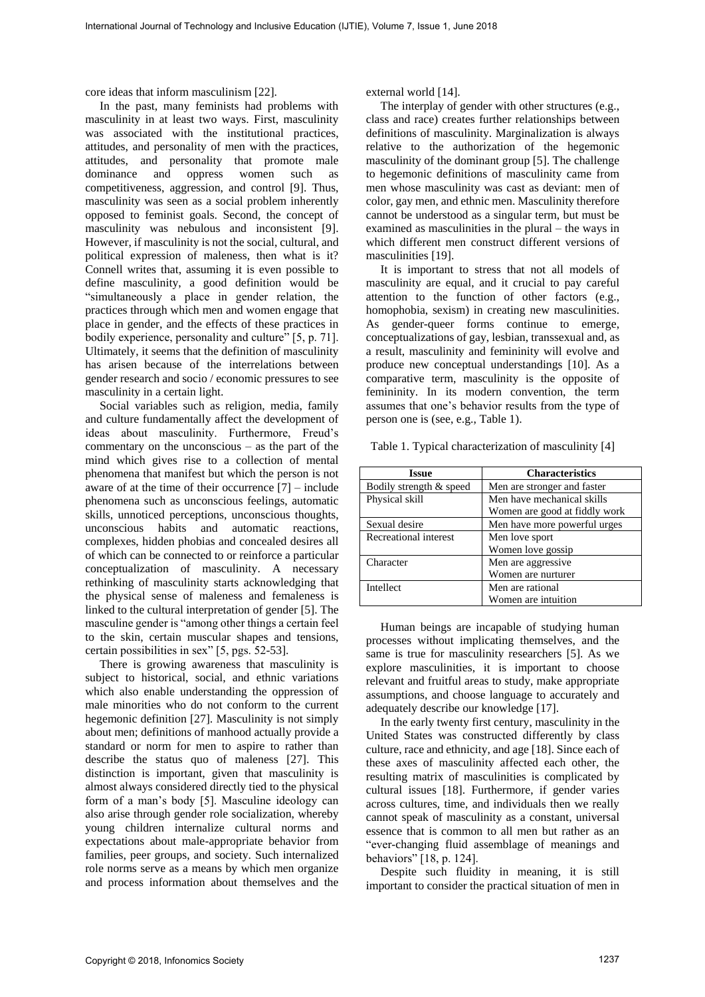core ideas that inform masculinism [22].

In the past, many feminists had problems with masculinity in at least two ways. First, masculinity was associated with the institutional practices, attitudes, and personality of men with the practices, attitudes, and personality that promote male dominance and oppress women such as competitiveness, aggression, and control [9]. Thus, masculinity was seen as a social problem inherently opposed to feminist goals. Second, the concept of masculinity was nebulous and inconsistent [9]. However, if masculinity is not the social, cultural, and political expression of maleness, then what is it? Connell writes that, assuming it is even possible to define masculinity, a good definition would be "simultaneously a place in gender relation, the practices through which men and women engage that place in gender, and the effects of these practices in bodily experience, personality and culture" [5, p. 71]. Ultimately, it seems that the definition of masculinity has arisen because of the interrelations between gender research and socio / economic pressures to see masculinity in a certain light. International Journal of the mean state of the mean state of Technology and the state of the mean state of the mean state of the mean state of the mean state of the mean state of the mean state of the mean state of the me

Social variables such as religion, media, family and culture fundamentally affect the development of ideas about masculinity. Furthermore, Freud's commentary on the unconscious – as the part of the mind which gives rise to a collection of mental phenomena that manifest but which the person is not aware of at the time of their occurrence [7] – include phenomena such as unconscious feelings, automatic skills, unnoticed perceptions, unconscious thoughts, unconscious habits and automatic reactions, complexes, hidden phobias and concealed desires all of which can be connected to or reinforce a particular conceptualization of masculinity. A necessary rethinking of masculinity starts acknowledging that the physical sense of maleness and femaleness is linked to the cultural interpretation of gender [5]. The masculine gender is "among other things a certain feel to the skin, certain muscular shapes and tensions, certain possibilities in sex" [5, pgs. 52-53].

There is growing awareness that masculinity is subject to historical, social, and ethnic variations which also enable understanding the oppression of male minorities who do not conform to the current hegemonic definition [27]. Masculinity is not simply about men; definitions of manhood actually provide a standard or norm for men to aspire to rather than describe the status quo of maleness [27]. This distinction is important, given that masculinity is almost always considered directly tied to the physical form of a man's body [5]. Masculine ideology can also arise through gender role socialization, whereby young children internalize cultural norms and expectations about male-appropriate behavior from families, peer groups, and society. Such internalized role norms serve as a means by which men organize and process information about themselves and the

external world [14].

The interplay of gender with other structures (e.g., class and race) creates further relationships between definitions of masculinity. Marginalization is always relative to the authorization of the hegemonic masculinity of the dominant group [5]. The challenge to hegemonic definitions of masculinity came from men whose masculinity was cast as deviant: men of color, gay men, and ethnic men. Masculinity therefore cannot be understood as a singular term, but must be examined as masculinities in the plural – the ways in which different men construct different versions of masculinities [19].

It is important to stress that not all models of masculinity are equal, and it crucial to pay careful attention to the function of other factors (e.g., homophobia, sexism) in creating new masculinities. As gender-queer forms continue to emerge, conceptualizations of gay, lesbian, transsexual and, as a result, masculinity and femininity will evolve and produce new conceptual understandings [10]. As a comparative term, masculinity is the opposite of femininity. In its modern convention, the term assumes that one's behavior results from the type of person one is (see, e.g., Table 1).

Table 1. Typical characterization of masculinity [4]

| Issue                   | <b>Characteristics</b>                                      |
|-------------------------|-------------------------------------------------------------|
| Bodily strength & speed | Men are stronger and faster                                 |
| Physical skill          | Men have mechanical skills<br>Women are good at fiddly work |
| Sexual desire           | Men have more powerful urges                                |
| Recreational interest   | Men love sport<br>Women love gossip                         |
| Character               | Men are aggressive<br>Women are nurturer                    |
| Intellect               | Men are rational<br>Women are intuition                     |

Human beings are incapable of studying human processes without implicating themselves, and the same is true for masculinity researchers [5]. As we explore masculinities, it is important to choose relevant and fruitful areas to study, make appropriate assumptions, and choose language to accurately and adequately describe our knowledge [17].

In the early twenty first century, masculinity in the United States was constructed differently by class culture, race and ethnicity, and age [18]. Since each of these axes of masculinity affected each other, the resulting matrix of masculinities is complicated by cultural issues [18]. Furthermore, if gender varies across cultures, time, and individuals then we really cannot speak of masculinity as a constant, universal essence that is common to all men but rather as an "ever-changing fluid assemblage of meanings and behaviors" [18, p. 124].

Despite such fluidity in meaning, it is still important to consider the practical situation of men in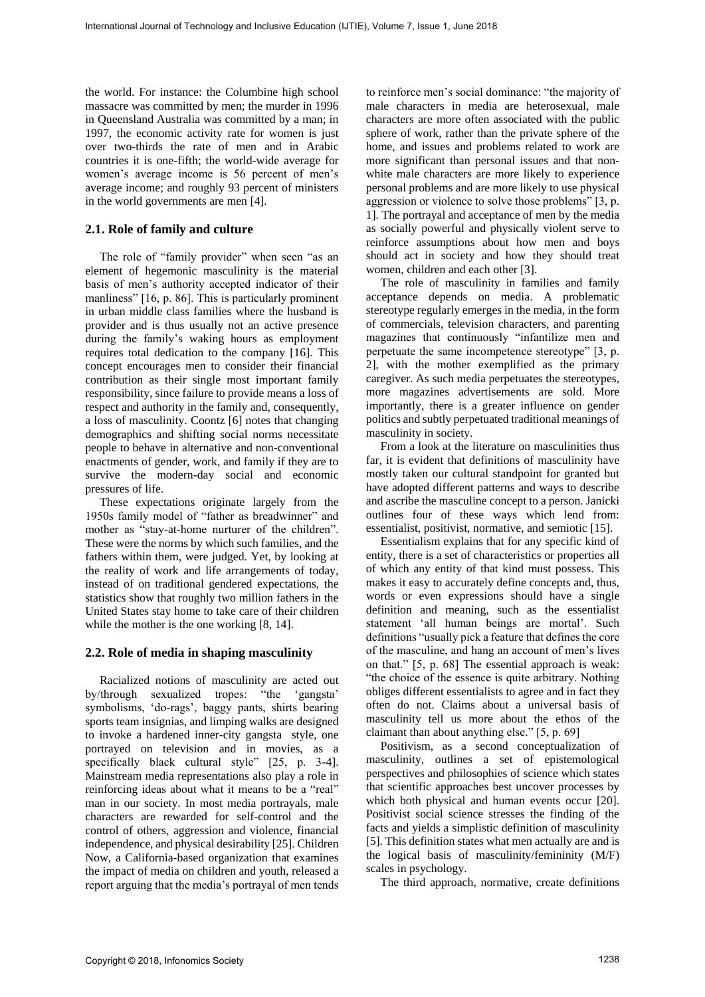the world. For instance: the Columbine high school massacre was committed by men; the murder in 1996 in Queensland Australia was committed by a man; in 1997, the economic activity rate for women is just over two-thirds the rate of men and in Arabic countries it is one-fifth; the world-wide average for women's average income is 56 percent of men's average income; and roughly 93 percent of ministers in the world governments are men [4].

#### **2.1. Role of family and culture**

The role of "family provider" when seen "as an element of hegemonic masculinity is the material basis of men's authority accepted indicator of their manliness" [16, p. 86]. This is particularly prominent in urban middle class families where the husband is provider and is thus usually not an active presence during the family's waking hours as employment requires total dedication to the company [16]. This concept encourages men to consider their financial contribution as their single most important family responsibility, since failure to provide means a loss of respect and authority in the family and, consequently, a loss of masculinity. Coontz [6] notes that changing demographics and shifting social norms necessitate people to behave in alternative and non-conventional enactments of gender, work, and family if they are to survive the modern-day social and economic pressures of life. Internation Asset Generation in the state of Technology and Technology and Technology and Technology and Technology and Technology and Technology and Technology and Technology and Technology and Technology and Technology

These expectations originate largely from the 1950s family model of "father as breadwinner" and mother as "stay-at-home nurturer of the children". These were the norms by which such families, and the fathers within them, were judged. Yet, by looking at the reality of work and life arrangements of today, instead of on traditional gendered expectations, the statistics show that roughly two million fathers in the United States stay home to take care of their children while the mother is the one working [8, 14].

#### **2.2. Role of media in shaping masculinity**

Racialized notions of masculinity are acted out by/through sexualized tropes: "the 'gangsta' symbolisms, 'do-rags', baggy pants, shirts bearing sports team insignias, and limping walks are designed to invoke a hardened inner-city gangsta style, one portrayed on television and in movies, as a specifically black cultural style" [25, p. 3-4]. Mainstream media representations also play a role in reinforcing ideas about what it means to be a "real" man in our society. In most media portrayals, male characters are rewarded for self-control and the control of others, aggression and violence, financial independence, and physical desirability [25]. Children Now, a California-based organization that examines the impact of media on children and youth, released a report arguing that the media's portrayal of men tends to reinforce men's social dominance: "the majority of male characters in media are heterosexual, male characters are more often associated with the public sphere of work, rather than the private sphere of the home, and issues and problems related to work are more significant than personal issues and that nonwhite male characters are more likely to experience personal problems and are more likely to use physical aggression or violence to solve those problems" [3, p. 1]. The portrayal and acceptance of men by the media as socially powerful and physically violent serve to reinforce assumptions about how men and boys should act in society and how they should treat women, children and each other [3].

The role of masculinity in families and family acceptance depends on media. A problematic stereotype regularly emerges in the media, in the form of commercials, television characters, and parenting magazines that continuously "infantilize men and perpetuate the same incompetence stereotype" [3, p. 2], with the mother exemplified as the primary caregiver. As such media perpetuates the stereotypes, more magazines advertisements are sold. More importantly, there is a greater influence on gender politics and subtly perpetuated traditional meanings of masculinity in society.

From a look at the literature on masculinities thus far, it is evident that definitions of masculinity have mostly taken our cultural standpoint for granted but have adopted different patterns and ways to describe and ascribe the masculine concept to a person. Janicki outlines four of these ways which lend from: essentialist, positivist, normative, and semiotic [15].

Essentialism explains that for any specific kind of entity, there is a set of characteristics or properties all of which any entity of that kind must possess. This makes it easy to accurately define concepts and, thus, words or even expressions should have a single definition and meaning, such as the essentialist statement 'all human beings are mortal'. Such definitions "usually pick a feature that defines the core of the masculine, and hang an account of men's lives on that." [5, p. 68] The essential approach is weak: "the choice of the essence is quite arbitrary. Nothing obliges different essentialists to agree and in fact they often do not. Claims about a universal basis of masculinity tell us more about the ethos of the claimant than about anything else." [5, p. 69]

Positivism, as a second conceptualization of masculinity, outlines a set of epistemological perspectives and philosophies of science which states that scientific approaches best uncover processes by which both physical and human events occur [20]. Positivist social science stresses the finding of the facts and yields a simplistic definition of masculinity [5]. This definition states what men actually are and is the logical basis of masculinity/femininity (M/F) scales in psychology.

The third approach, normative, create definitions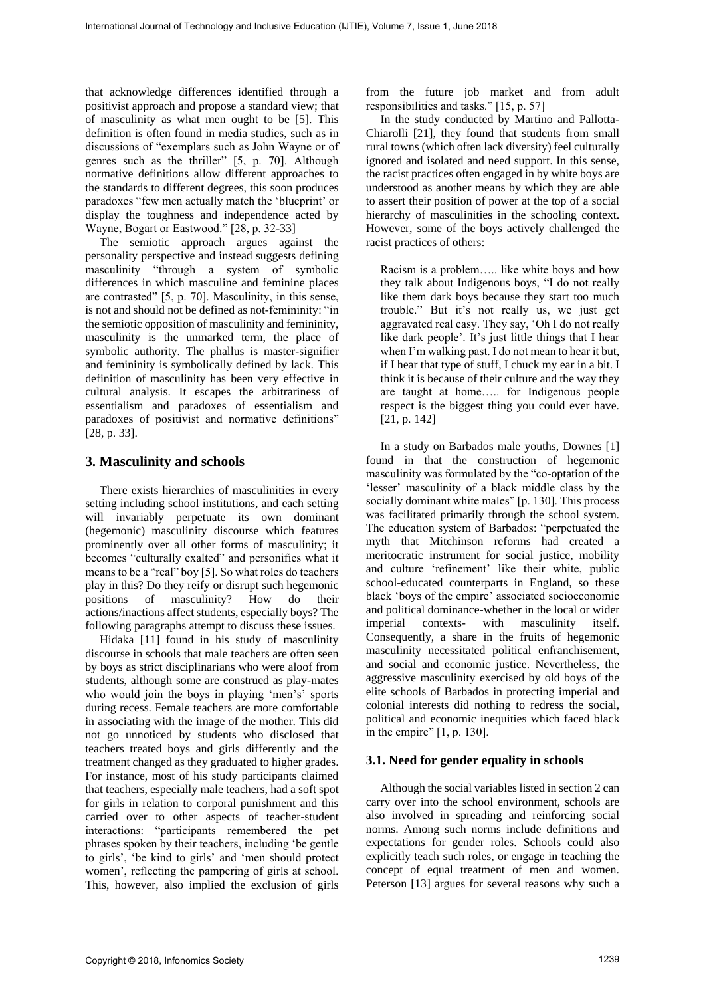that acknowledge differences identified through a positivist approach and propose a standard view; that of masculinity as what men ought to be [5]. This definition is often found in media studies, such as in discussions of "exemplars such as John Wayne or of genres such as the thriller" [5, p. 70]. Although normative definitions allow different approaches to the standards to different degrees, this soon produces paradoxes "few men actually match the 'blueprint' or display the toughness and independence acted by Wayne, Bogart or Eastwood." [28, p. 32-33]

The semiotic approach argues against the personality perspective and instead suggests defining masculinity "through a system of symbolic differences in which masculine and feminine places are contrasted" [5, p. 70]. Masculinity, in this sense, is not and should not be defined as not-femininity: "in the semiotic opposition of masculinity and femininity, masculinity is the unmarked term, the place of symbolic authority. The phallus is master-signifier and femininity is symbolically defined by lack. This definition of masculinity has been very effective in cultural analysis. It escapes the arbitrariness of essentialism and paradoxes of essentialism and paradoxes of positivist and normative definitions" [28, p. 33].

### **3. Masculinity and schools**

There exists hierarchies of masculinities in every setting including school institutions, and each setting will invariably perpetuate its own dominant (hegemonic) masculinity discourse which features prominently over all other forms of masculinity; it becomes "culturally exalted" and personifies what it means to be a "real" boy [5]. So what roles do teachers play in this? Do they reify or disrupt such hegemonic positions of masculinity? How do their actions/inactions affect students, especially boys? The following paragraphs attempt to discuss these issues.

Hidaka [11] found in his study of masculinity discourse in schools that male teachers are often seen by boys as strict disciplinarians who were aloof from students, although some are construed as play-mates who would join the boys in playing 'men's' sports during recess. Female teachers are more comfortable in associating with the image of the mother. This did not go unnoticed by students who disclosed that teachers treated boys and girls differently and the treatment changed as they graduated to higher grades. For instance, most of his study participants claimed that teachers, especially male teachers, had a soft spot for girls in relation to corporal punishment and this carried over to other aspects of teacher-student interactions: "participants remembered the pet phrases spoken by their teachers, including 'be gentle to girls', 'be kind to girls' and 'men should protect women', reflecting the pampering of girls at school. This, however, also implied the exclusion of girls from the future job market and from adult responsibilities and tasks." [15, p. 57]

In the study conducted by Martino and Pallotta-Chiarolli [21], they found that students from small rural towns (which often lack diversity) feel culturally ignored and isolated and need support. In this sense, the racist practices often engaged in by white boys are understood as another means by which they are able to assert their position of power at the top of a social hierarchy of masculinities in the schooling context. However, some of the boys actively challenged the racist practices of others:

Racism is a problem….. like white boys and how they talk about Indigenous boys, "I do not really like them dark boys because they start too much trouble." But it's not really us, we just get aggravated real easy. They say, 'Oh I do not really like dark people'. It's just little things that I hear when I'm walking past. I do not mean to hear it but, if I hear that type of stuff, I chuck my ear in a bit. I think it is because of their culture and the way they are taught at home….. for Indigenous people respect is the biggest thing you could ever have. [21, p. 142]

In a study on Barbados male youths, Downes [1] found in that the construction of hegemonic masculinity was formulated by the "co-optation of the 'lesser' masculinity of a black middle class by the socially dominant white males" [p. 130]. This process was facilitated primarily through the school system. The education system of Barbados: "perpetuated the myth that Mitchinson reforms had created a meritocratic instrument for social justice, mobility and culture 'refinement' like their white, public school-educated counterparts in England, so these black 'boys of the empire' associated socioeconomic and political dominance-whether in the local or wider imperial contexts- with masculinity itself. Consequently, a share in the fruits of hegemonic masculinity necessitated political enfranchisement, and social and economic justice. Nevertheless, the aggressive masculinity exercised by old boys of the elite schools of Barbados in protecting imperial and colonial interests did nothing to redress the social, political and economic inequities which faced black in the empire" [1, p. 130]. International Journal of the time is a controlled by the controlled by the state of Technology and the controlled by the controlled by the state of Technology and the controlled by the state of Technology and Internationa

### **3.1. Need for gender equality in schools**

Although the social variables listed in section 2 can carry over into the school environment, schools are also involved in spreading and reinforcing social norms. Among such norms include definitions and expectations for gender roles. Schools could also explicitly teach such roles, or engage in teaching the concept of equal treatment of men and women. Peterson [13] argues for several reasons why such a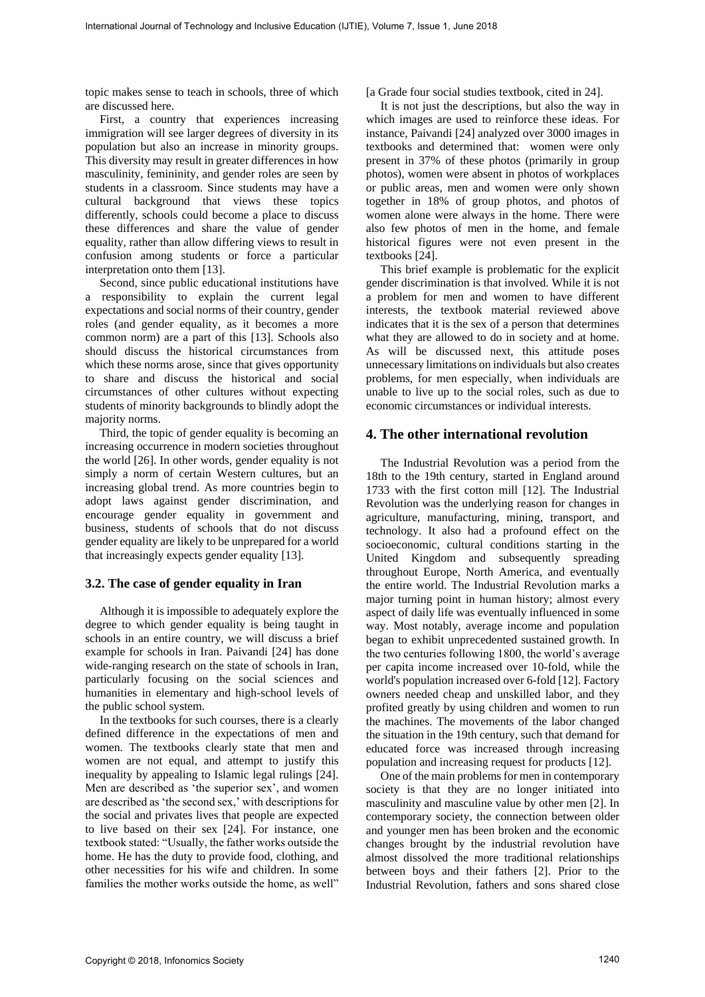topic makes sense to teach in schools, three of which are discussed here.

First, a country that experiences increasing immigration will see larger degrees of diversity in its population but also an increase in minority groups. This diversity may result in greater differences in how masculinity, femininity, and gender roles are seen by students in a classroom. Since students may have a cultural background that views these topics differently, schools could become a place to discuss these differences and share the value of gender equality, rather than allow differing views to result in confusion among students or force a particular interpretation onto them [13].

Second, since public educational institutions have a responsibility to explain the current legal expectations and social norms of their country, gender roles (and gender equality, as it becomes a more common norm) are a part of this [13]. Schools also should discuss the historical circumstances from which these norms arose, since that gives opportunity to share and discuss the historical and social circumstances of other cultures without expecting students of minority backgrounds to blindly adopt the majority norms.

Third, the topic of gender equality is becoming an increasing occurrence in modern societies throughout the world [26]. In other words, gender equality is not simply a norm of certain Western cultures, but an increasing global trend. As more countries begin to adopt laws against gender discrimination, and encourage gender equality in government and business, students of schools that do not discuss gender equality are likely to be unprepared for a world that increasingly expects gender equality [13].

#### **3.2. The case of gender equality in Iran**

Although it is impossible to adequately explore the degree to which gender equality is being taught in schools in an entire country, we will discuss a brief example for schools in Iran. Paivandi [24] has done wide-ranging research on the state of schools in Iran, particularly focusing on the social sciences and humanities in elementary and high-school levels of the public school system.

In the textbooks for such courses, there is a clearly defined difference in the expectations of men and women. The textbooks clearly state that men and women are not equal, and attempt to justify this inequality by appealing to Islamic legal rulings [24]. Men are described as 'the superior sex', and women are described as 'the second sex,' with descriptions for the social and privates lives that people are expected to live based on their sex [24]. For instance, one textbook stated: "Usually, the father works outside the home. He has the duty to provide food, clothing, and other necessities for his wife and children. In some families the mother works outside the home, as well"

[a Grade four social studies textbook, cited in 24].

It is not just the descriptions, but also the way in which images are used to reinforce these ideas. For instance, Paivandi [24] analyzed over 3000 images in textbooks and determined that: women were only present in 37% of these photos (primarily in group photos), women were absent in photos of workplaces or public areas, men and women were only shown together in 18% of group photos, and photos of women alone were always in the home. There were also few photos of men in the home, and female historical figures were not even present in the textbooks [24].

This brief example is problematic for the explicit gender discrimination is that involved. While it is not a problem for men and women to have different interests, the textbook material reviewed above indicates that it is the sex of a person that determines what they are allowed to do in society and at home. As will be discussed next, this attitude poses unnecessary limitations on individuals but also creates problems, for men especially, when individuals are unable to live up to the social roles, such as due to economic circumstances or individual interests.

## **4. The other international revolution**

The Industrial Revolution was a period from the 18th to the 19th century, started in England around 1733 with the first cotton mill [12]. The Industrial Revolution was the underlying reason for changes in agriculture, manufacturing, mining, transport, and technology. It also had a profound effect on the socioeconomic, cultural conditions starting in the United Kingdom and subsequently spreading throughout Europe, North America, and eventually the entire world. The Industrial Revolution marks a major turning point in human history; almost every aspect of daily life was eventually influenced in some way. Most notably, average income and population began to exhibit unprecedented sustained growth. In the two centuries following 1800, the world's average per capita income increased over 10-fold, while the world's population increased over 6-fold [12]. Factory owners needed cheap and unskilled labor, and they profited greatly by using children and women to run the machines. The movements of the labor changed the situation in the 19th century, such that demand for educated force was increased through increasing population and increasing request for products [12]. For the method of terms in the two-local international of Technology and the state of the state of the state of the state of the state of the state of the state of the state of the state of the state of the state of the s

One of the main problems for men in contemporary society is that they are no longer initiated into masculinity and masculine value by other men [2]. In contemporary society, the connection between older and younger men has been broken and the economic changes brought by the industrial revolution have almost dissolved the more traditional relationships between boys and their fathers [2]. Prior to the Industrial Revolution, fathers and sons shared close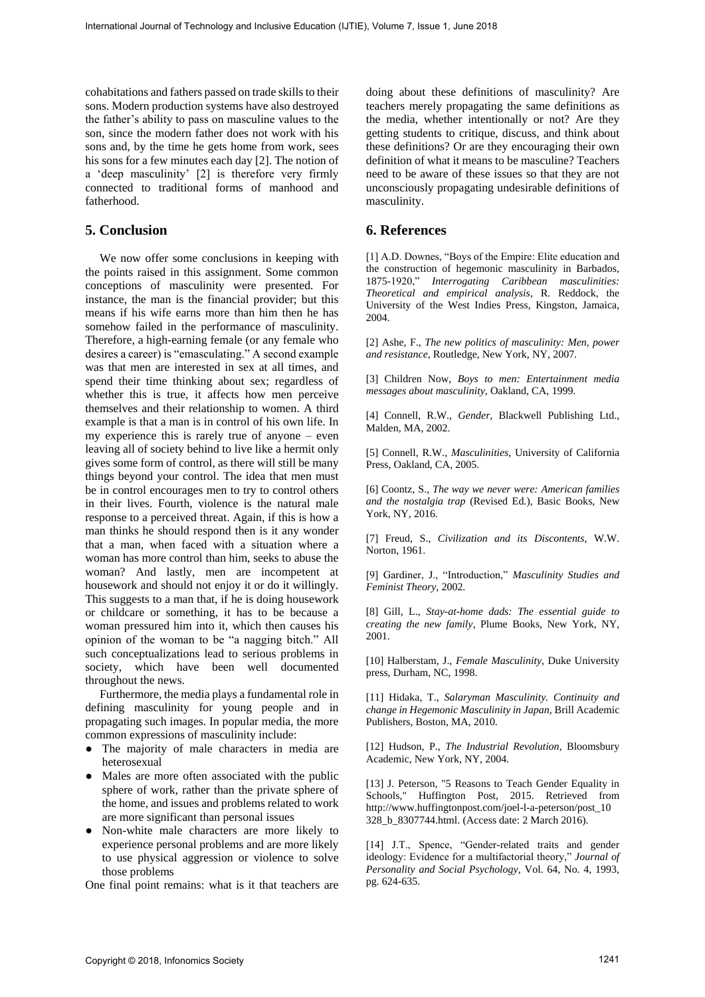cohabitations and fathers passed on trade skills to their sons. Modern production systems have also destroyed the father's ability to pass on masculine values to the son, since the modern father does not work with his sons and, by the time he gets home from work, sees his sons for a few minutes each day [2]. The notion of a 'deep masculinity' [2] is therefore very firmly connected to traditional forms of manhood and fatherhood.

# **5. Conclusion**

We now offer some conclusions in keeping with the points raised in this assignment. Some common conceptions of masculinity were presented. For instance, the man is the financial provider; but this means if his wife earns more than him then he has somehow failed in the performance of masculinity. Therefore, a high-earning female (or any female who desires a career) is "emasculating." A second example was that men are interested in sex at all times, and spend their time thinking about sex; regardless of whether this is true, it affects how men perceive themselves and their relationship to women. A third example is that a man is in control of his own life. In my experience this is rarely true of anyone – even leaving all of society behind to live like a hermit only gives some form of control, as there will still be many things beyond your control. The idea that men must be in control encourages men to try to control others in their lives. Fourth, violence is the natural male response to a perceived threat. Again, if this is how a man thinks he should respond then is it any wonder that a man, when faced with a situation where a woman has more control than him, seeks to abuse the woman? And lastly, men are incompetent at housework and should not enjoy it or do it willingly. This suggests to a man that, if he is doing housework or childcare or something, it has to be because a woman pressured him into it, which then causes his opinion of the woman to be "a nagging bitch." All such conceptualizations lead to serious problems in society, which have been well documented throughout the news. For the main of the state of the state of the state of the state of the state of the state of the state of the state of the state of the state of the state of the state of the state of the state of the state of the state

Furthermore, the media plays a fundamental role in defining masculinity for young people and in propagating such images. In popular media, the more common expressions of masculinity include:

- The majority of male characters in media are heterosexual
- Males are more often associated with the public sphere of work, rather than the private sphere of the home, and issues and problems related to work are more significant than personal issues
- Non-white male characters are more likely to experience personal problems and are more likely to use physical aggression or violence to solve those problems

One final point remains: what is it that teachers are

doing about these definitions of masculinity? Are teachers merely propagating the same definitions as the media, whether intentionally or not? Are they getting students to critique, discuss, and think about these definitions? Or are they encouraging their own definition of what it means to be masculine? Teachers need to be aware of these issues so that they are not unconsciously propagating undesirable definitions of masculinity.

# **6. References**

[1] A.D. Downes, "Boys of the Empire: Elite education and the construction of hegemonic masculinity in Barbados, 1875-1920," *Interrogating Caribbean masculinities: Theoretical and empirical analysis*, R. Reddock, the University of the West Indies Press, Kingston, Jamaica, 2004.

[2] Ashe, F., *The new politics of masculinity: Men, power and resistance*, Routledge, New York, NY, 2007.

[3] Children Now, *Boys to men: Entertainment media messages about masculinity*, Oakland, CA, 1999.

[4] Connell, R.W., *Gender*, Blackwell Publishing Ltd., Malden, MA, 2002.

[5] Connell, R.W., *Masculinities*, University of California Press, Oakland, CA, 2005.

[6] Coontz, S., *The way we never were: American families and the nostalgia trap* (Revised Ed.), Basic Books, New York, NY, 2016.

[7] Freud, S., *Civilization and its Discontents*, W.W. Norton, 1961.

[9] Gardiner, J., "Introduction," *Masculinity Studies and Feminist Theory*, 2002.

[8] Gill, L., *Stay-at-home dads: The essential guide to creating the new family*, Plume Books, New York, NY, 2001.

[10] Halberstam, J., *Female Masculinity*, Duke University press, Durham, NC, 1998.

[11] Hidaka, T., *Salaryman Masculinity. Continuity and change in Hegemonic Masculinity in Japan*, Brill Academic Publishers, Boston, MA, 2010.

[12] Hudson, P., *The Industrial Revolution*, Bloomsbury Academic, New York, NY, 2004.

[13] J. Peterson, "5 Reasons to Teach Gender Equality in Schools," Huffington Post, 2015. Retrieved from http://www.huffingtonpost.com/joel-l-a-peterson/post\_10 328\_b\_8307744.html. (Access date: 2 March 2016).

[14] J.T., Spence, "Gender-related traits and gender ideology: Evidence for a multifactorial theory," *Journal of Personality and Social Psychology*, Vol. 64, No. 4, 1993, pg. 624-635.